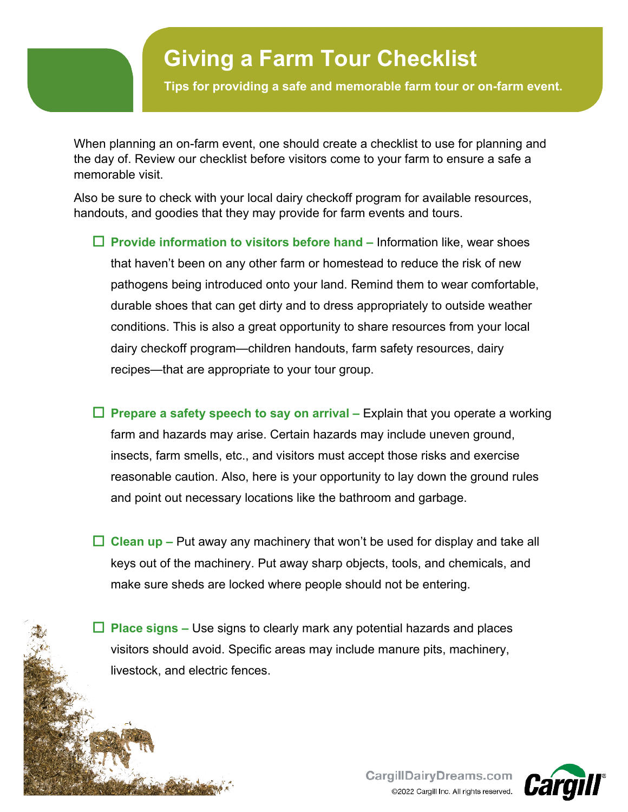## **Giving a Farm Tour Checklist**

**Tips for providing a safe and memorable farm tour or on-farm event.**

When planning an on-farm event, one should create a checklist to use for planning and the day of. Review our checklist before visitors come to your farm to ensure a safe a memorable visit.

Also be sure to check with your local dairy checkoff program for available resources, handouts, and goodies that they may provide for farm events and tours.

- **Provide information to visitors before hand –** Information like, wear shoes that haven't been on any other farm or homestead to reduce the risk of new pathogens being introduced onto your land. Remind them to wear comfortable, durable shoes that can get dirty and to dress appropriately to outside weather conditions. This is also a great opportunity to share resources from your local dairy checkoff program—children handouts, farm safety resources, dairy recipes—that are appropriate to your tour group.
- **Prepare a safety speech to say on arrival –** Explain that you operate a working farm and hazards may arise. Certain hazards may include uneven ground, insects, farm smells, etc., and visitors must accept those risks and exercise reasonable caution. Also, here is your opportunity to lay down the ground rules and point out necessary locations like the bathroom and garbage.
- **Clean up –** Put away any machinery that won't be used for display and take all keys out of the machinery. Put away sharp objects, tools, and chemicals, and make sure sheds are locked where people should not be entering.
- **Place signs –** Use signs to clearly mark any potential hazards and places visitors should avoid. Specific areas may include manure pits, machinery, livestock, and electric fences.

Ĭ 1